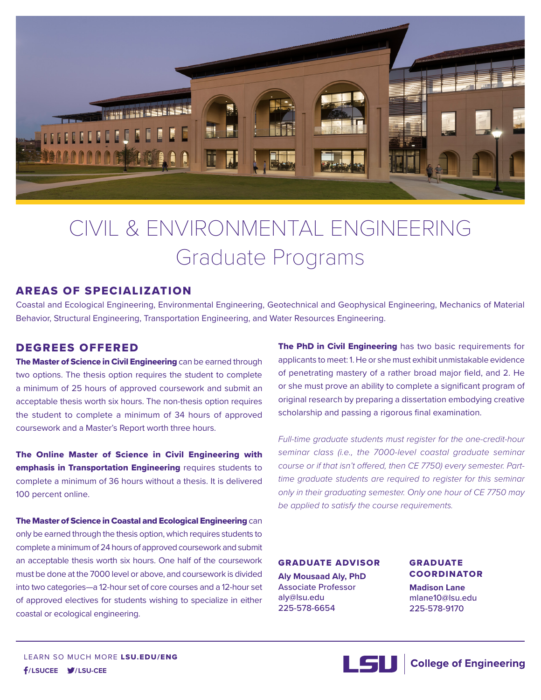

# CIVIL & ENVIRONMENTAL ENGINEERING Graduate Programs

# AREAS OF SPECIALIZATION

Coastal and Ecological Engineering, Environmental Engineering, Geotechnical and Geophysical Engineering, Mechanics of Material Behavior, Structural Engineering, Transportation Engineering, and Water Resources Engineering.

# DEGREES OFFERED

The Master of Science in Civil Engineering can be earned through two options. The thesis option requires the student to complete a minimum of 25 hours of approved coursework and submit an acceptable thesis worth six hours. The non-thesis option requires the student to complete a minimum of 34 hours of approved coursework and a Master's Report worth three hours.

The Online Master of Science in Civil Engineering with emphasis in Transportation Engineering requires students to complete a minimum of 36 hours without a thesis. It is delivered 100 percent online.

The Master of Science in Coastal and Ecological Engineering can only be earned through the thesis option, which requires students to complete a minimum of 24 hours of approved coursework and submit an acceptable thesis worth six hours. One half of the coursework must be done at the 7000 level or above, and coursework is divided into two categories—a 12-hour set of core courses and a 12-hour set of approved electives for students wishing to specialize in either coastal or ecological engineering.

The PhD in Civil Engineering has two basic requirements for applicants to meet: 1. He or she must exhibit unmistakable evidence of penetrating mastery of a rather broad major field, and 2. He or she must prove an ability to complete a significant program of original research by preparing a dissertation embodying creative scholarship and passing a rigorous final examination.

*Full-time graduate students must register for the one-credit-hour seminar class (i.e., the 7000-level coastal graduate seminar course or if that isn't offered, then CE 7750) every semester. Parttime graduate students are required to register for this seminar only in their graduating semester. Only one hour of CE 7750 may be applied to satisfy the course requirements.*

GRADUATE ADVISOR **Aly Mousaad Aly, PhD** Associate Professor aly@lsu.edu 225-578-6654

GRADUATE COORDINATOR **Madison Lane** mlane10@lsu.edu

225-578-9170